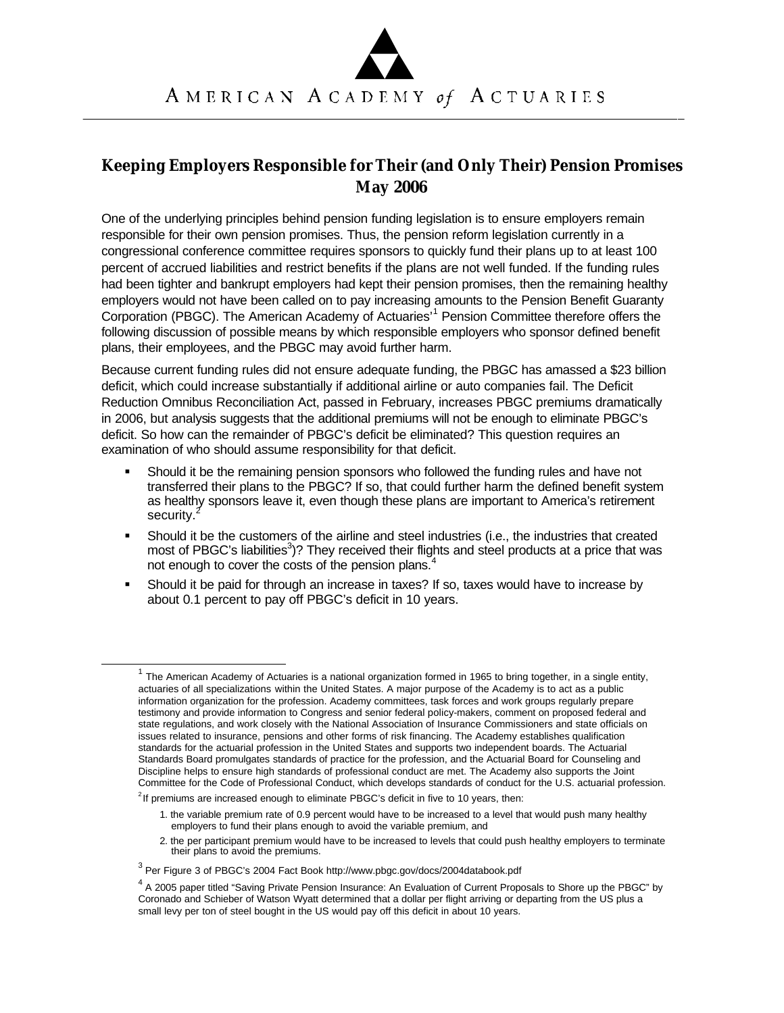## **Keeping Employers Responsible for Their (and Only Their) Pension Promises May 2006**

One of the underlying principles behind pension funding legislation is to ensure employers remain responsible for their own pension promises. Thus, the pension reform legislation currently in a congressional conference committee requires sponsors to quickly fund their plans up to at least 100 percent of accrued liabilities and restrict benefits if the plans are not well funded. If the funding rules had been tighter and bankrupt employers had kept their pension promises, then the remaining healthy employers would not have been called on to pay increasing amounts to the Pension Benefit Guaranty Corporation (PBGC). The American Academy of Actuaries'<sup>1</sup> Pension Committee therefore offers the following discussion of possible means by which responsible employers who sponsor defined benefit plans, their employees, and the PBGC may avoid further harm.

Because current funding rules did not ensure adequate funding, the PBGC has amassed a \$23 billion deficit, which could increase substantially if additional airline or auto companies fail. The Deficit Reduction Omnibus Reconciliation Act, passed in February, increases PBGC premiums dramatically in 2006, but analysis suggests that the additional premiums will not be enough to eliminate PBGC's deficit. So how can the remainder of PBGC's deficit be eliminated? This question requires an examination of who should assume responsibility for that deficit.

- ß Should it be the remaining pension sponsors who followed the funding rules and have not transferred their plans to the PBGC? If so, that could further harm the defined benefit system as healthy sponsors leave it, even though these plans are important to America's retirement security.<sup>4</sup>
- Should it be the customers of the airline and steel industries (i.e., the industries that created most of PBGC's liabilities<sup>3</sup>)? They received their flights and steel products at a price that was not enough to cover the costs of the pension plans.<sup>4</sup>
- ß Should it be paid for through an increase in taxes? If so, taxes would have to increase by about 0.1 percent to pay off PBGC's deficit in 10 years.

l

<sup>&</sup>lt;sup>1</sup> The American Academy of Actuaries is a national organization formed in 1965 to bring together, in a single entity, actuaries of all specializations within the United States. A major purpose of the Academy is to act as a public information organization for the profession. Academy committees, task forces and work groups regularly prepare testimony and provide information to Congress and senior federal policy-makers, comment on proposed federal and state regulations, and work closely with the National Association of Insurance Commissioners and state officials on issues related to insurance, pensions and other forms of risk financing. The Academy establishes qualification standards for the actuarial profession in the United States and supports two independent boards. The Actuarial Standards Board promulgates standards of practice for the profession, and the Actuarial Board for Counseling and Discipline helps to ensure high standards of professional conduct are met. The Academy also supports the Joint Committee for the Code of Professional Conduct, which develops standards of conduct for the U.S. actuarial profession.

 $2$ If premiums are increased enough to eliminate PBGC's deficit in five to 10 years, then:

<sup>1.</sup> the variable premium rate of 0.9 percent would have to be increased to a level that would push many healthy employers to fund their plans enough to avoid the variable premium, and

<sup>2.</sup> the per participant premium would have to be increased to levels that could push healthy employers to terminate their plans to avoid the premiums.

<sup>&</sup>lt;sup>3</sup> Per Figure 3 of PBGC's 2004 Fact Book http://www.pbgc.gov/docs/2004databook.pdf

<sup>&</sup>lt;sup>4</sup> A 2005 paper titled "Saving Private Pension Insurance: An Evaluation of Current Proposals to Shore up the PBGC" by Coronado and Schieber of Watson Wyatt determined that a dollar per flight arriving or departing from the US plus a small levy per ton of steel bought in the US would pay off this deficit in about 10 years.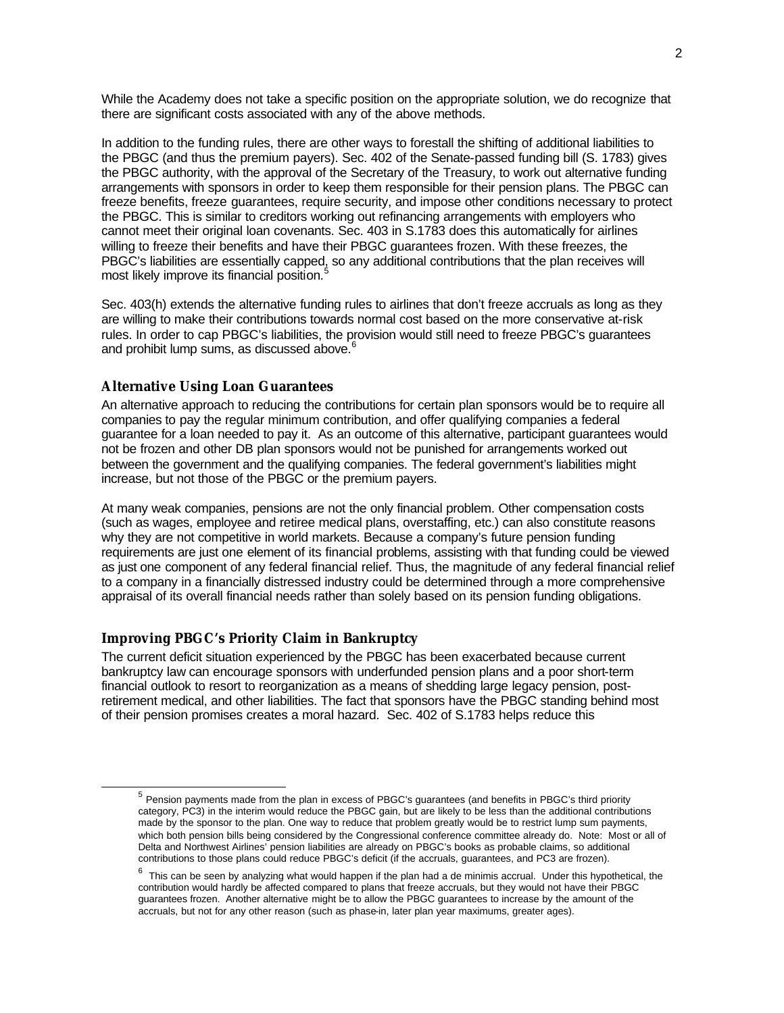While the Academy does not take a specific position on the appropriate solution, we do recognize that there are significant costs associated with any of the above methods.

In addition to the funding rules, there are other ways to forestall the shifting of additional liabilities to the PBGC (and thus the premium payers). Sec. 402 of the Senate-passed funding bill (S. 1783) gives the PBGC authority, with the approval of the Secretary of the Treasury, to work out alternative funding arrangements with sponsors in order to keep them responsible for their pension plans. The PBGC can freeze benefits, freeze guarantees, require security, and impose other conditions necessary to protect the PBGC. This is similar to creditors working out refinancing arrangements with employers who cannot meet their original loan covenants. Sec. 403 in S.1783 does this automatically for airlines willing to freeze their benefits and have their PBGC guarantees frozen. With these freezes, the PBGC's liabilities are essentially capped, so any additional contributions that the plan receives will most likely improve its financial position.<sup>5</sup>

Sec. 403(h) extends the alternative funding rules to airlines that don't freeze accruals as long as they are willing to make their contributions towards normal cost based on the more conservative at-risk rules. In order to cap PBGC's liabilities, the provision would still need to freeze PBGC's guarantees and prohibit lump sums, as discussed above.<sup>6</sup>

## **Alternative Using Loan Guarantees**

An alternative approach to reducing the contributions for certain plan sponsors would be to require all companies to pay the regular minimum contribution, and offer qualifying companies a federal guarantee for a loan needed to pay it. As an outcome of this alternative, participant guarantees would not be frozen and other DB plan sponsors would not be punished for arrangements worked out between the government and the qualifying companies. The federal government's liabilities might increase, but not those of the PBGC or the premium payers.

At many weak companies, pensions are not the only financial problem. Other compensation costs (such as wages, employee and retiree medical plans, overstaffing, etc.) can also constitute reasons why they are not competitive in world markets. Because a company's future pension funding requirements are just one element of its financial problems, assisting with that funding could be viewed as just one component of any federal financial relief. Thus, the magnitude of any federal financial relief to a company in a financially distressed industry could be determined through a more comprehensive appraisal of its overall financial needs rather than solely based on its pension funding obligations.

## **Improving PBGC's Priority Claim in Bankruptcy**

l

The current deficit situation experienced by the PBGC has been exacerbated because current bankruptcy law can encourage sponsors with underfunded pension plans and a poor short-term financial outlook to resort to reorganization as a means of shedding large legacy pension, postretirement medical, and other liabilities. The fact that sponsors have the PBGC standing behind most of their pension promises creates a moral hazard. Sec. 402 of S.1783 helps reduce this

<sup>&</sup>lt;sup>5</sup> Pension payments made from the plan in excess of PBGC's guarantees (and benefits in PBGC's third priority category, PC3) in the interim would reduce the PBGC gain, but are likely to be less than the additional contributions made by the sponsor to the plan. One way to reduce that problem greatly would be to restrict lump sum payments, which both pension bills being considered by the Congressional conference committee already do. Note: Most or all of Delta and Northwest Airlines' pension liabilities are already on PBGC's books as probable claims, so additional contributions to those plans could reduce PBGC's deficit (if the accruals, guarantees, and PC3 are frozen).

<sup>6</sup> This can be seen by analyzing what would happen if the plan had a de minimis accrual. Under this hypothetical, the contribution would hardly be affected compared to plans that freeze accruals, but they would not have their PBGC guarantees frozen. Another alternative might be to allow the PBGC guarantees to increase by the amount of the accruals, but not for any other reason (such as phase-in, later plan year maximums, greater ages).